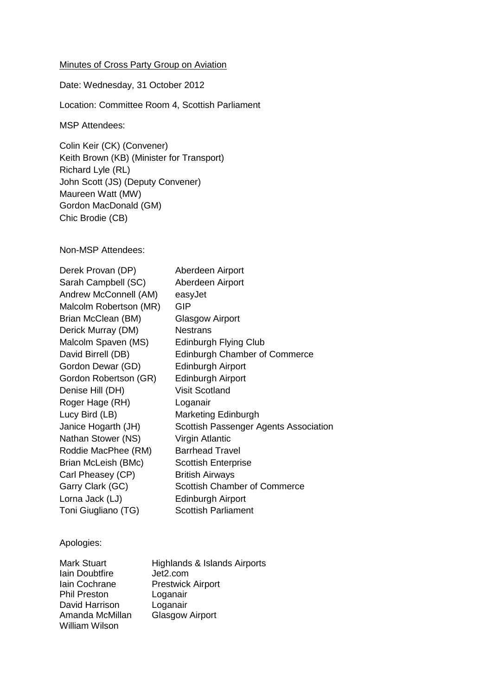## Minutes of Cross Party Group on Aviation

Date: Wednesday, 31 October 2012

Location: Committee Room 4, Scottish Parliament

MSP Attendees:

Colin Keir (CK) (Convener) Keith Brown (KB) (Minister for Transport) Richard Lyle (RL) John Scott (JS) (Deputy Convener) Maureen Watt (MW) Gordon MacDonald (GM) Chic Brodie (CB)

Non-MSP Attendees:

| Derek Provan (DP)      | Aberdeen Airport                      |
|------------------------|---------------------------------------|
| Sarah Campbell (SC)    | Aberdeen Airport                      |
| Andrew McConnell (AM)  | easyJet                               |
| Malcolm Robertson (MR) | GIP                                   |
| Brian McClean (BM)     | <b>Glasgow Airport</b>                |
| Derick Murray (DM)     | <b>Nestrans</b>                       |
| Malcolm Spaven (MS)    | Edinburgh Flying Club                 |
| David Birrell (DB)     | <b>Edinburgh Chamber of Commerce</b>  |
| Gordon Dewar (GD)      | <b>Edinburgh Airport</b>              |
| Gordon Robertson (GR)  | <b>Edinburgh Airport</b>              |
| Denise Hill (DH)       | <b>Visit Scotland</b>                 |
| Roger Hage (RH)        | Loganair                              |
| Lucy Bird (LB)         | Marketing Edinburgh                   |
| Janice Hogarth (JH)    | Scottish Passenger Agents Association |
| Nathan Stower (NS)     | Virgin Atlantic                       |
| Roddie MacPhee (RM)    | <b>Barrhead Travel</b>                |
| Brian McLeish (BMc)    | <b>Scottish Enterprise</b>            |
| Carl Pheasey (CP)      | <b>British Airways</b>                |
| Garry Clark (GC)       | <b>Scottish Chamber of Commerce</b>   |
| Lorna Jack (LJ)        | <b>Edinburgh Airport</b>              |
| Toni Giugliano (TG)    | <b>Scottish Parliament</b>            |

## Apologies:

| <b>Mark Stuart</b>  | Highlands & Islands Airports |
|---------------------|------------------------------|
| Iain Doubtfire      | Jet2.com                     |
| Iain Cochrane       | <b>Prestwick Airport</b>     |
| <b>Phil Preston</b> | Loganair                     |
| David Harrison      | Loganair                     |
| Amanda McMillan     | <b>Glasgow Airport</b>       |
| William Wilson      |                              |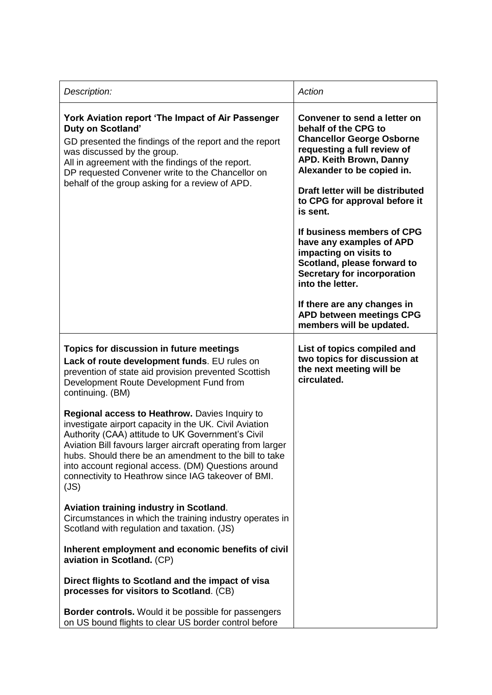| Description:                                                                                                                                                                                                                                                                                                                                                                                                 | Action                                                                                                                                                                                                                                                                                                                                                                                                                                                                                                                                              |
|--------------------------------------------------------------------------------------------------------------------------------------------------------------------------------------------------------------------------------------------------------------------------------------------------------------------------------------------------------------------------------------------------------------|-----------------------------------------------------------------------------------------------------------------------------------------------------------------------------------------------------------------------------------------------------------------------------------------------------------------------------------------------------------------------------------------------------------------------------------------------------------------------------------------------------------------------------------------------------|
| York Aviation report 'The Impact of Air Passenger<br><b>Duty on Scotland'</b><br>GD presented the findings of the report and the report<br>was discussed by the group.<br>All in agreement with the findings of the report.<br>DP requested Convener write to the Chancellor on<br>behalf of the group asking for a review of APD.                                                                           | Convener to send a letter on<br>behalf of the CPG to<br><b>Chancellor George Osborne</b><br>requesting a full review of<br><b>APD. Keith Brown, Danny</b><br>Alexander to be copied in.<br>Draft letter will be distributed<br>to CPG for approval before it<br>is sent.<br>If business members of CPG<br>have any examples of APD<br>impacting on visits to<br>Scotland, please forward to<br><b>Secretary for incorporation</b><br>into the letter.<br>If there are any changes in<br><b>APD between meetings CPG</b><br>members will be updated. |
| Topics for discussion in future meetings<br>Lack of route development funds. EU rules on<br>prevention of state aid provision prevented Scottish<br>Development Route Development Fund from<br>continuing. (BM)                                                                                                                                                                                              | List of topics compiled and<br>two topics for discussion at<br>the next meeting will be<br>circulated.                                                                                                                                                                                                                                                                                                                                                                                                                                              |
| Regional access to Heathrow. Davies Inquiry to<br>investigate airport capacity in the UK. Civil Aviation<br>Authority (CAA) attitude to UK Government's Civil<br>Aviation Bill favours larger aircraft operating from larger<br>hubs. Should there be an amendment to the bill to take<br>into account regional access. (DM) Questions around<br>connectivity to Heathrow since IAG takeover of BMI.<br>(JS) |                                                                                                                                                                                                                                                                                                                                                                                                                                                                                                                                                     |
| <b>Aviation training industry in Scotland.</b><br>Circumstances in which the training industry operates in<br>Scotland with regulation and taxation. (JS)                                                                                                                                                                                                                                                    |                                                                                                                                                                                                                                                                                                                                                                                                                                                                                                                                                     |
| Inherent employment and economic benefits of civil<br>aviation in Scotland. (CP)                                                                                                                                                                                                                                                                                                                             |                                                                                                                                                                                                                                                                                                                                                                                                                                                                                                                                                     |
| Direct flights to Scotland and the impact of visa<br>processes for visitors to Scotland. (CB)                                                                                                                                                                                                                                                                                                                |                                                                                                                                                                                                                                                                                                                                                                                                                                                                                                                                                     |
| <b>Border controls.</b> Would it be possible for passengers<br>on US bound flights to clear US border control before                                                                                                                                                                                                                                                                                         |                                                                                                                                                                                                                                                                                                                                                                                                                                                                                                                                                     |